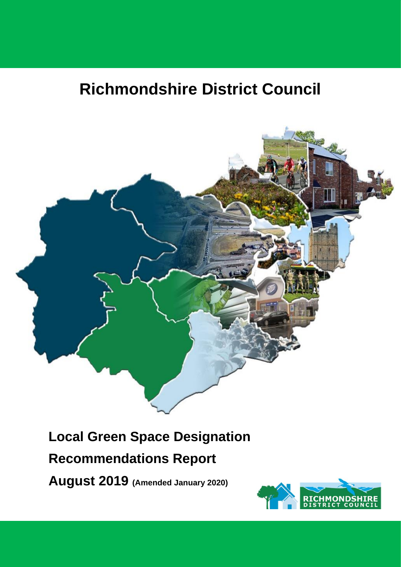# **Richmondshire District Council**



# **Local Green Space Designation**

# **Recommendations Report**

**August 2019 (Amended January 2020)**

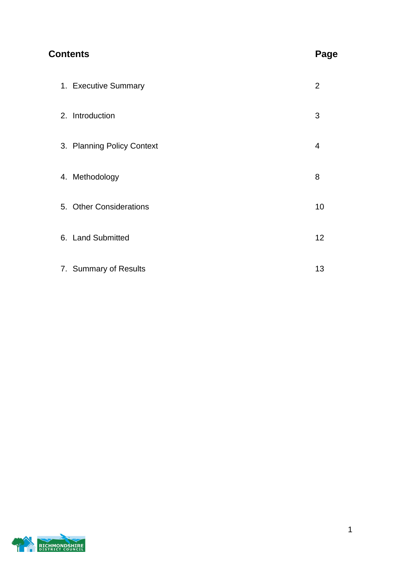# **Contents Page**

| 1. Executive Summary       | 2  |
|----------------------------|----|
| 2. Introduction            | 3  |
| 3. Planning Policy Context | 4  |
| 4. Methodology             | 8  |
| 5. Other Considerations    | 10 |
| 6. Land Submitted          | 12 |
| 7. Summary of Results      | 13 |

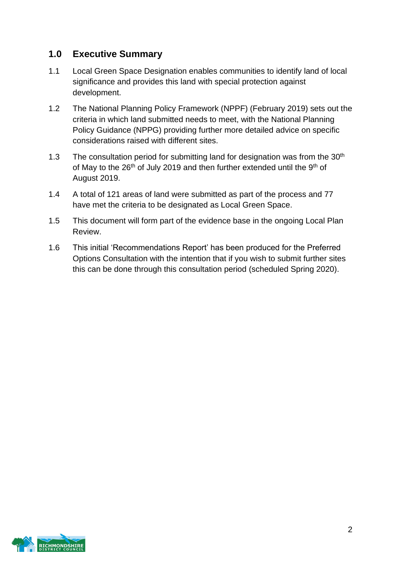# **1.0 Executive Summary**

- 1.1 Local Green Space Designation enables communities to identify land of local significance and provides this land with special protection against development.
- 1.2 The National Planning Policy Framework (NPPF) (February 2019) sets out the criteria in which land submitted needs to meet, with the National Planning Policy Guidance (NPPG) providing further more detailed advice on specific considerations raised with different sites.
- 1.3 The consultation period for submitting land for designation was from the  $30<sup>th</sup>$ of May to the 26<sup>th</sup> of July 2019 and then further extended until the 9<sup>th</sup> of August 2019.
- 1.4 A total of 121 areas of land were submitted as part of the process and 77 have met the criteria to be designated as Local Green Space.
- 1.5 This document will form part of the evidence base in the ongoing Local Plan Review.
- 1.6 This initial 'Recommendations Report' has been produced for the Preferred Options Consultation with the intention that if you wish to submit further sites this can be done through this consultation period (scheduled Spring 2020).

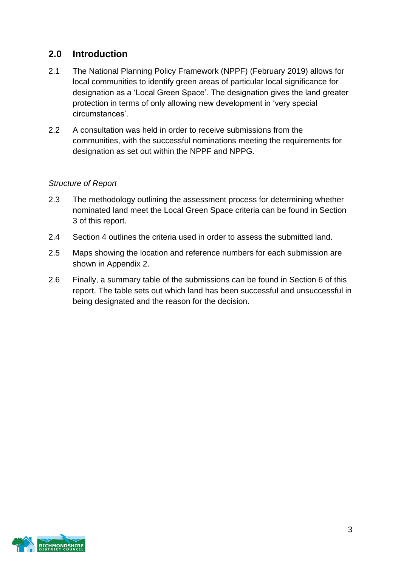# **2.0 Introduction**

- 2.1 The National Planning Policy Framework (NPPF) (February 2019) allows for local communities to identify green areas of particular local significance for designation as a 'Local Green Space'. The designation gives the land greater protection in terms of only allowing new development in 'very special circumstances'.
- 2.2 A consultation was held in order to receive submissions from the communities, with the successful nominations meeting the requirements for designation as set out within the NPPF and NPPG.

#### *Structure of Report*

- 2.3 The methodology outlining the assessment process for determining whether nominated land meet the Local Green Space criteria can be found in Section 3 of this report.
- 2.4 Section 4 outlines the criteria used in order to assess the submitted land.
- 2.5 Maps showing the location and reference numbers for each submission are shown in Appendix 2.
- 2.6 Finally, a summary table of the submissions can be found in Section 6 of this report. The table sets out which land has been successful and unsuccessful in being designated and the reason for the decision.

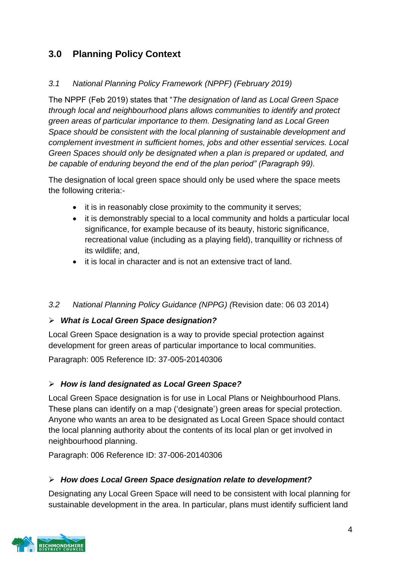# **3.0 Planning Policy Context**

### *3.1 National Planning Policy Framework (NPPF) (February 2019)*

The NPPF (Feb 2019) states that "*The designation of land as Local Green Space through local and neighbourhood plans allows communities to identify and protect green areas of particular importance to them. Designating land as Local Green Space should be consistent with the local planning of sustainable development and complement investment in sufficient homes, jobs and other essential services. Local Green Spaces should only be designated when a plan is prepared or updated, and be capable of enduring beyond the end of the plan period" (Paragraph 99).*

The designation of local green space should only be used where the space meets the following criteria:-

- it is in reasonably close proximity to the community it serves;
- it is demonstrably special to a local community and holds a particular local significance, for example because of its beauty, historic significance, recreational value (including as a playing field), tranquillity or richness of its wildlife; and,
- it is local in character and is not an extensive tract of land.

#### *3.2 National Planning Policy Guidance (NPPG) (*Revision date: 06 03 2014)

#### ➢ *What is Local Green Space designation?*

Local Green Space designation is a way to provide special protection against development for green areas of particular importance to local communities.

Paragraph: 005 Reference ID: 37-005-20140306

# ➢ *How is land designated as Local Green Space?*

Local Green Space designation is for use in Local Plans or Neighbourhood Plans. These plans can identify on a map ('designate') green areas for special protection. Anyone who wants an area to be designated as Local Green Space should contact the local planning authority about the contents of its local plan or get involved in neighbourhood planning.

Paragraph: 006 Reference ID: 37-006-20140306

#### ➢ *How does Local Green Space designation relate to development?*

Designating any Local Green Space will need to be consistent with local planning for sustainable development in the area. In particular, plans must identify sufficient land

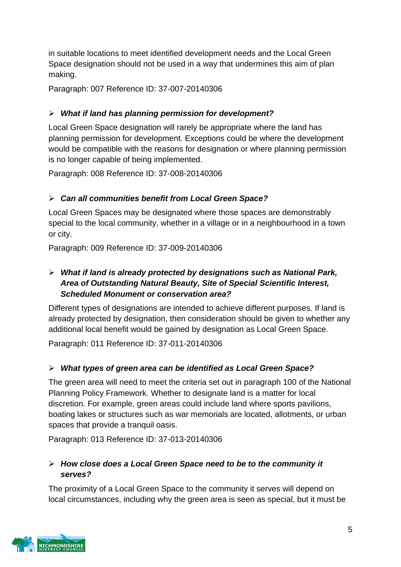in suitable locations to meet identified development needs and the Local Green Space designation should not be used in a way that undermines this aim of plan making.

Paragraph: 007 Reference ID: 37-007-20140306

# ➢ *What if land has planning permission for development?*

Local Green Space designation will rarely be appropriate where the land has planning permission for development. Exceptions could be where the development would be compatible with the reasons for designation or where planning permission is no longer capable of being implemented.

Paragraph: 008 Reference ID: 37-008-20140306

# ➢ *Can all communities benefit from Local Green Space?*

Local Green Spaces may be designated where those spaces are demonstrably special to the local community, whether in a village or in a neighbourhood in a town or city.

Paragraph: 009 Reference ID: 37-009-20140306

# ➢ *What if land is already protected by designations such as National Park, Area of Outstanding Natural Beauty, Site of Special Scientific Interest, Scheduled Monument or conservation area?*

Different types of designations are intended to achieve different purposes. If land is already protected by designation, then consideration should be given to whether any additional local benefit would be gained by designation as Local Green Space.

Paragraph: 011 Reference ID: 37-011-20140306

# ➢ *What types of green area can be identified as Local Green Space?*

The green area will need to meet the criteria set out in paragraph 100 of the National Planning Policy Framework. Whether to designate land is a matter for local discretion. For example, green areas could include land where sports pavilions, boating lakes or structures such as war memorials are located, allotments, or urban spaces that provide a tranquil oasis.

Paragraph: 013 Reference ID: 37-013-20140306

# ➢ *How close does a Local Green Space need to be to the community it serves?*

The proximity of a Local Green Space to the community it serves will depend on local circumstances, including why the green area is seen as special, but it must be

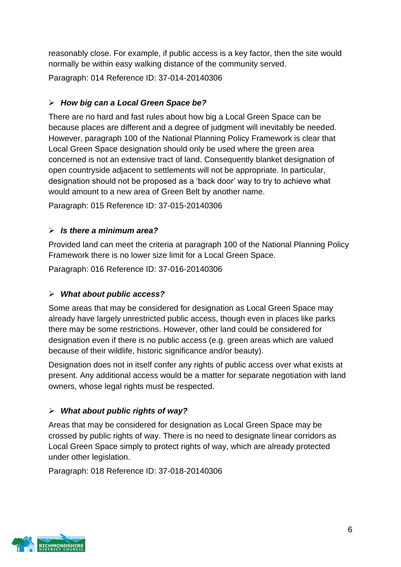reasonably close. For example, if public access is a key factor, then the site would normally be within easy walking distance of the community served.

Paragraph: 014 Reference ID: 37-014-20140306

# ➢ *How big can a Local Green Space be?*

There are no hard and fast rules about how big a Local Green Space can be because places are different and a degree of judgment will inevitably be needed. However, paragraph 100 of the National Planning Policy Framework is clear that Local Green Space designation should only be used where the green area concerned is not an extensive tract of land. Consequently blanket designation of open countryside adjacent to settlements will not be appropriate. In particular, designation should not be proposed as a 'back door' way to try to achieve what would amount to a new area of Green Belt by another name.

Paragraph: 015 Reference ID: 37-015-20140306

# ➢ *Is there a minimum area?*

Provided land can meet the criteria at paragraph 100 of the National Planning Policy Framework there is no lower size limit for a Local Green Space.

Paragraph: 016 Reference ID: 37-016-20140306

# ➢ *What about public access?*

Some areas that may be considered for designation as Local Green Space may already have largely unrestricted public access, though even in places like parks there may be some restrictions. However, other land could be considered for designation even if there is no public access (e.g. green areas which are valued because of their wildlife, historic significance and/or beauty).

Designation does not in itself confer any rights of public access over what exists at present. Any additional access would be a matter for separate negotiation with land owners, whose legal rights must be respected.

# ➢ *What about public rights of way?*

Areas that may be considered for designation as Local Green Space may be crossed by public rights of way. There is no need to designate linear corridors as Local Green Space simply to protect rights of way, which are already protected under other legislation.

Paragraph: 018 Reference ID: 37-018-20140306

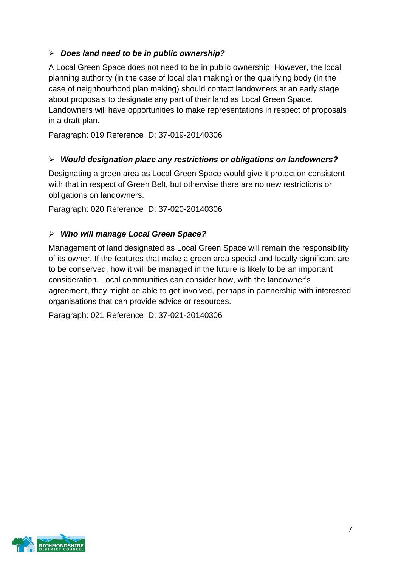# ➢ *Does land need to be in public ownership?*

A Local Green Space does not need to be in public ownership. However, the local planning authority (in the case of local plan making) or the qualifying body (in the case of neighbourhood plan making) should contact landowners at an early stage about proposals to designate any part of their land as Local Green Space. Landowners will have opportunities to make representations in respect of proposals in a draft plan.

Paragraph: 019 Reference ID: 37-019-20140306

#### ➢ *Would designation place any restrictions or obligations on landowners?*

Designating a green area as Local Green Space would give it protection consistent with that in respect of Green Belt, but otherwise there are no new restrictions or obligations on landowners.

Paragraph: 020 Reference ID: 37-020-20140306

#### ➢ *Who will manage Local Green Space?*

Management of land designated as Local Green Space will remain the responsibility of its owner. If the features that make a green area special and locally significant are to be conserved, how it will be managed in the future is likely to be an important consideration. Local communities can consider how, with the landowner's agreement, they might be able to get involved, perhaps in partnership with interested organisations that can provide advice or resources.

Paragraph: 021 Reference ID: 37-021-20140306

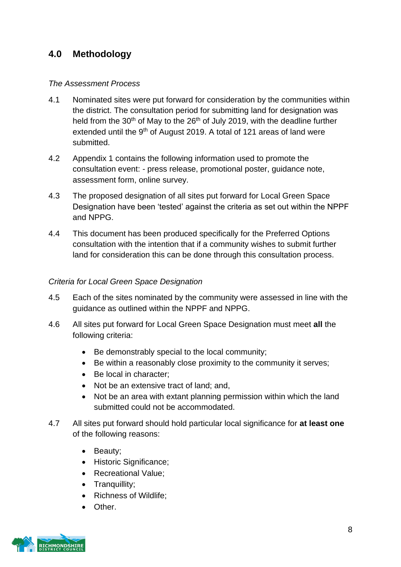# **4.0 Methodology**

#### *The Assessment Process*

- 4.1 Nominated sites were put forward for consideration by the communities within the district. The consultation period for submitting land for designation was held from the  $30<sup>th</sup>$  of May to the  $26<sup>th</sup>$  of July 2019, with the deadline further extended until the 9<sup>th</sup> of August 2019. A total of 121 areas of land were submitted.
- 4.2 Appendix 1 contains the following information used to promote the consultation event: - press release, promotional poster, guidance note, assessment form, online survey.
- 4.3 The proposed designation of all sites put forward for Local Green Space Designation have been 'tested' against the criteria as set out within the NPPF and NPPG.
- 4.4 This document has been produced specifically for the Preferred Options consultation with the intention that if a community wishes to submit further land for consideration this can be done through this consultation process.

#### *Criteria for Local Green Space Designation*

- 4.5 Each of the sites nominated by the community were assessed in line with the guidance as outlined within the NPPF and NPPG.
- 4.6 All sites put forward for Local Green Space Designation must meet **all** the following criteria:
	- Be demonstrably special to the local community;
	- Be within a reasonably close proximity to the community it serves;
	- Be local in character:
	- Not be an extensive tract of land; and,
	- Not be an area with extant planning permission within which the land submitted could not be accommodated.
- 4.7 All sites put forward should hold particular local significance for **at least one** of the following reasons:
	- Beauty;
	- Historic Significance:
	- Recreational Value;
	- Tranquillity;
	- Richness of Wildlife;
	- Other.

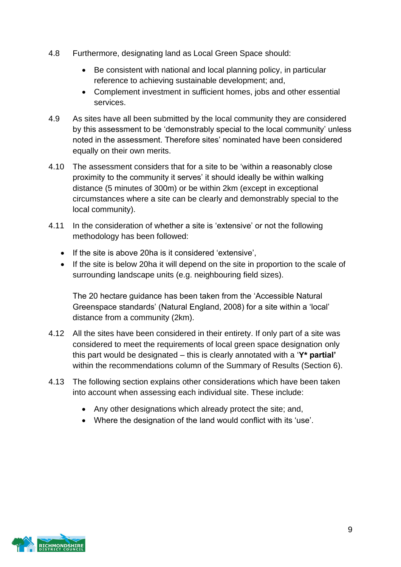- 4.8 Furthermore, designating land as Local Green Space should:
	- Be consistent with national and local planning policy, in particular reference to achieving sustainable development; and,
	- Complement investment in sufficient homes, jobs and other essential services.
- 4.9 As sites have all been submitted by the local community they are considered by this assessment to be 'demonstrably special to the local community' unless noted in the assessment. Therefore sites' nominated have been considered equally on their own merits.
- 4.10 The assessment considers that for a site to be 'within a reasonably close proximity to the community it serves' it should ideally be within walking distance (5 minutes of 300m) or be within 2km (except in exceptional circumstances where a site can be clearly and demonstrably special to the local community).
- 4.11 In the consideration of whether a site is 'extensive' or not the following methodology has been followed:
	- If the site is above 20ha is it considered 'extensive',
	- If the site is below 20ha it will depend on the site in proportion to the scale of surrounding landscape units (e.g. neighbouring field sizes).

The 20 hectare guidance has been taken from the 'Accessible Natural Greenspace standards' (Natural England, 2008) for a site within a 'local' distance from a community (2km).

- 4.12 All the sites have been considered in their entirety. If only part of a site was considered to meet the requirements of local green space designation only this part would be designated – this is clearly annotated with a '**Y\* partial'** within the recommendations column of the Summary of Results (Section 6).
- 4.13 The following section explains other considerations which have been taken into account when assessing each individual site. These include:
	- Any other designations which already protect the site; and,
	- Where the designation of the land would conflict with its 'use'.

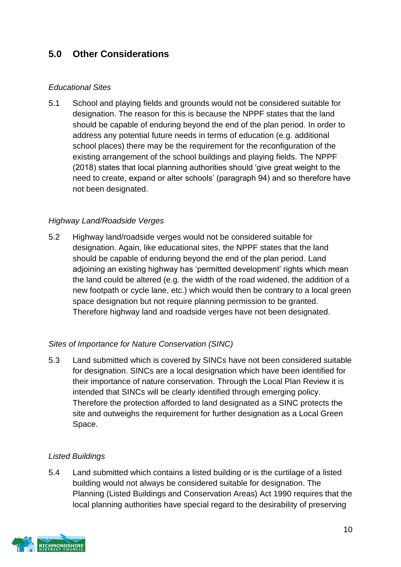# **5.0 Other Considerations**

### *Educational Sites*

5.1 School and playing fields and grounds would not be considered suitable for designation. The reason for this is because the NPPF states that the land should be capable of enduring beyond the end of the plan period. In order to address any potential future needs in terms of education (e.g. additional school places) there may be the requirement for the reconfiguration of the existing arrangement of the school buildings and playing fields. The NPPF (2018) states that local planning authorities should 'give great weight to the need to create, expand or alter schools' (paragraph 94) and so therefore have not been designated.

### *Highway Land/Roadside Verges*

5.2 Highway land/roadside verges would not be considered suitable for designation. Again, like educational sites, the NPPF states that the land should be capable of enduring beyond the end of the plan period. Land adjoining an existing highway has 'permitted development' rights which mean the land could be altered (e.g. the width of the road widened, the addition of a new footpath or cycle lane, etc.) which would then be contrary to a local green space designation but not require planning permission to be granted. Therefore highway land and roadside verges have not been designated.

#### *Sites of Importance for Nature Conservation (SINC)*

5.3 Land submitted which is covered by SINCs have not been considered suitable for designation. SINCs are a local designation which have been identified for their importance of nature conservation. Through the Local Plan Review it is intended that SINCs will be clearly identified through emerging policy. Therefore the protection afforded to land designated as a SINC protects the site and outweighs the requirement for further designation as a Local Green Space.

#### *Listed Buildings*

5.4 Land submitted which contains a listed building or is the curtilage of a listed building would not always be considered suitable for designation. The Planning (Listed Buildings and Conservation Areas) Act 1990 requires that the local planning authorities have special regard to the desirability of preserving

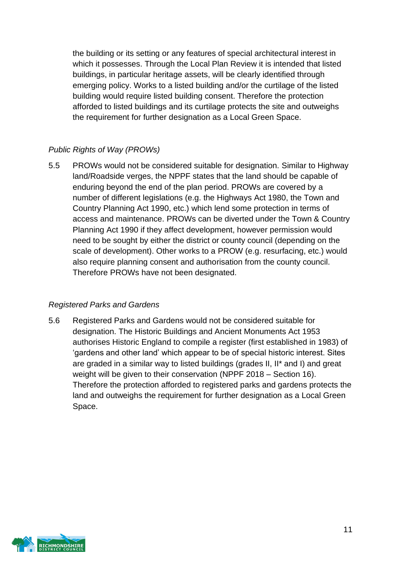the building or its setting or any features of special architectural interest in which it possesses. Through the Local Plan Review it is intended that listed buildings, in particular heritage assets, will be clearly identified through emerging policy. Works to a listed building and/or the curtilage of the listed building would require listed building consent. Therefore the protection afforded to listed buildings and its curtilage protects the site and outweighs the requirement for further designation as a Local Green Space.

# *Public Rights of Way (PROWs)*

5.5 PROWs would not be considered suitable for designation. Similar to Highway land/Roadside verges, the NPPF states that the land should be capable of enduring beyond the end of the plan period. PROWs are covered by a number of different legislations (e.g. the Highways Act 1980, the Town and Country Planning Act 1990, etc.) which lend some protection in terms of access and maintenance. PROWs can be diverted under the Town & Country Planning Act 1990 if they affect development, however permission would need to be sought by either the district or county council (depending on the scale of development). Other works to a PROW (e.g. resurfacing, etc.) would also require planning consent and authorisation from the county council. Therefore PROWs have not been designated.

#### *Registered Parks and Gardens*

5.6 Registered Parks and Gardens would not be considered suitable for designation. The Historic Buildings and Ancient Monuments Act 1953 authorises Historic England to compile a register (first established in 1983) of 'gardens and other land' which appear to be of special historic interest. Sites are graded in a similar way to listed buildings (grades II, II\* and I) and great weight will be given to their conservation (NPPF 2018 – Section 16). Therefore the protection afforded to registered parks and gardens protects the land and outweighs the requirement for further designation as a Local Green Space.

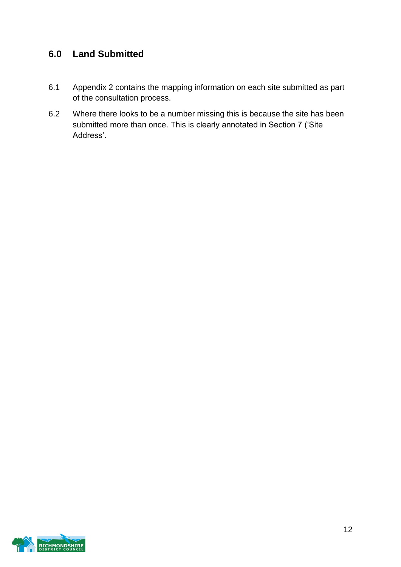# **6.0 Land Submitted**

- 6.1 Appendix 2 contains the mapping information on each site submitted as part of the consultation process.
- 6.2 Where there looks to be a number missing this is because the site has been submitted more than once. This is clearly annotated in Section 7 ('Site Address'.

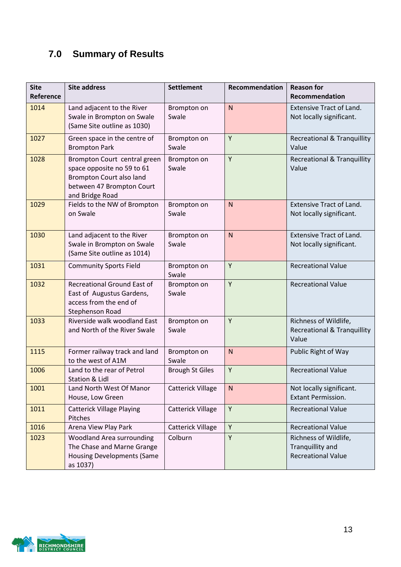# **7.0 Summary of Results**

| <b>Site</b><br>Reference | <b>Site address</b>                                                                                                                    | <b>Settlement</b>        | Recommendation | <b>Reason for</b><br>Recommendation                                      |
|--------------------------|----------------------------------------------------------------------------------------------------------------------------------------|--------------------------|----------------|--------------------------------------------------------------------------|
| 1014                     | Land adjacent to the River<br>Swale in Brompton on Swale<br>(Same Site outline as 1030)                                                | Brompton on<br>Swale     | $\mathsf{N}$   | <b>Extensive Tract of Land.</b><br>Not locally significant.              |
| 1027                     | Green space in the centre of<br><b>Brompton Park</b>                                                                                   | Brompton on<br>Swale     | Y              | <b>Recreational &amp; Tranquillity</b><br>Value                          |
| 1028                     | Brompton Court central green<br>space opposite no 59 to 61<br>Brompton Court also land<br>between 47 Brompton Court<br>and Bridge Road | Brompton on<br>Swale     | Y              | <b>Recreational &amp; Tranquillity</b><br>Value                          |
| 1029                     | Fields to the NW of Brompton<br>on Swale                                                                                               | Brompton on<br>Swale     | $\mathsf{N}$   | <b>Extensive Tract of Land.</b><br>Not locally significant.              |
| 1030                     | Land adjacent to the River<br>Swale in Brompton on Swale<br>(Same Site outline as 1014)                                                | Brompton on<br>Swale     | N              | <b>Extensive Tract of Land.</b><br>Not locally significant.              |
| 1031                     | <b>Community Sports Field</b>                                                                                                          | Brompton on<br>Swale     | Y              | <b>Recreational Value</b>                                                |
| 1032                     | Recreational Ground East of<br>East of Augustus Gardens,<br>access from the end of<br>Stephenson Road                                  | Brompton on<br>Swale     | Y              | <b>Recreational Value</b>                                                |
| 1033                     | Riverside walk woodland East<br>and North of the River Swale                                                                           | Brompton on<br>Swale     | Y              | Richness of Wildlife,<br><b>Recreational &amp; Tranquillity</b><br>Value |
| 1115                     | Former railway track and land<br>to the west of A1M                                                                                    | Brompton on<br>Swale     | N              | Public Right of Way                                                      |
| 1006                     | Land to the rear of Petrol<br>Station & Lidl                                                                                           | <b>Brough St Giles</b>   | Y              | <b>Recreational Value</b>                                                |
| 1001                     | Land North West Of Manor<br>House, Low Green                                                                                           | Catterick Village        | ${\sf N}$      | Not locally significant.<br><b>Extant Permission.</b>                    |
| 1011                     | <b>Catterick Village Playing</b><br>Pitches                                                                                            | Catterick Village        | Y              | <b>Recreational Value</b>                                                |
| 1016                     | Arena View Play Park                                                                                                                   | <b>Catterick Village</b> | Y              | <b>Recreational Value</b>                                                |
| 1023                     | Woodland Area surrounding<br>The Chase and Marne Grange<br><b>Housing Developments (Same</b><br>as 1037)                               | Colburn                  | Y              | Richness of Wildlife,<br>Tranquillity and<br><b>Recreational Value</b>   |

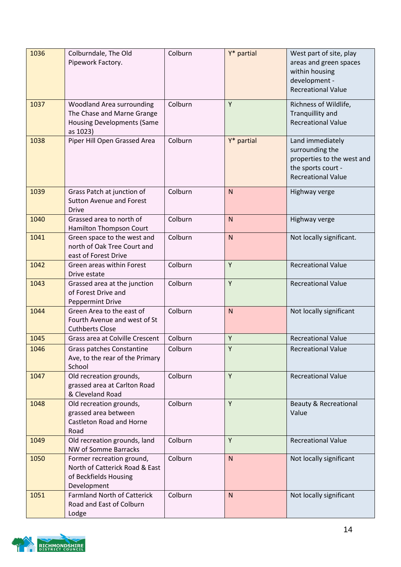| 1036 | Colburndale, The Old<br>Pipework Factory.                                                                | Colburn | Y* partial   | West part of site, play<br>areas and green spaces<br>within housing<br>development -<br><b>Recreational Value</b>    |
|------|----------------------------------------------------------------------------------------------------------|---------|--------------|----------------------------------------------------------------------------------------------------------------------|
| 1037 | Woodland Area surrounding<br>The Chase and Marne Grange<br><b>Housing Developments (Same</b><br>as 1023) | Colburn | Y            | Richness of Wildlife,<br>Tranquillity and<br><b>Recreational Value</b>                                               |
| 1038 | Piper Hill Open Grassed Area                                                                             | Colburn | Y* partial   | Land immediately<br>surrounding the<br>properties to the west and<br>the sports court -<br><b>Recreational Value</b> |
| 1039 | Grass Patch at junction of<br><b>Sutton Avenue and Forest</b><br><b>Drive</b>                            | Colburn | $\mathsf{N}$ | Highway verge                                                                                                        |
| 1040 | Grassed area to north of<br>Hamilton Thompson Court                                                      | Colburn | N            | Highway verge                                                                                                        |
| 1041 | Green space to the west and<br>north of Oak Tree Court and<br>east of Forest Drive                       | Colburn | $\mathsf{N}$ | Not locally significant.                                                                                             |
| 1042 | Green areas within Forest<br>Drive estate                                                                | Colburn | Y            | <b>Recreational Value</b>                                                                                            |
| 1043 | Grassed area at the junction<br>of Forest Drive and<br><b>Peppermint Drive</b>                           | Colburn | Y            | <b>Recreational Value</b>                                                                                            |
| 1044 | Green Area to the east of<br>Fourth Avenue and west of St<br><b>Cuthberts Close</b>                      | Colburn | $\mathsf{N}$ | Not locally significant                                                                                              |
| 1045 | Grass area at Colville Crescent                                                                          | Colburn | Y            | <b>Recreational Value</b>                                                                                            |
| 1046 | <b>Grass patches Constantine</b><br>Ave, to the rear of the Primary<br>School                            | Colburn | Y            | <b>Recreational Value</b>                                                                                            |
| 1047 | Old recreation grounds,<br>grassed area at Carlton Road<br>& Cleveland Road                              | Colburn | Y            | <b>Recreational Value</b>                                                                                            |
| 1048 | Old recreation grounds,<br>grassed area between<br>Castleton Road and Horne<br>Road                      | Colburn | Y            | <b>Beauty &amp; Recreational</b><br>Value                                                                            |
| 1049 | Old recreation grounds, land<br><b>NW of Somme Barracks</b>                                              | Colburn | Y            | <b>Recreational Value</b>                                                                                            |
| 1050 | Former recreation ground,<br>North of Catterick Road & East<br>of Beckfields Housing<br>Development      | Colburn | $\mathsf{N}$ | Not locally significant                                                                                              |
| 1051 | <b>Farmland North of Catterick</b><br>Road and East of Colburn<br>Lodge                                  | Colburn | $\mathsf{N}$ | Not locally significant                                                                                              |

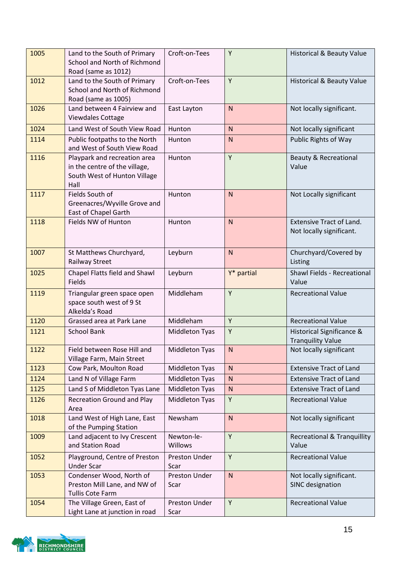| 1005 | Land to the South of Primary<br>School and North of Richmond<br>Road (same as 1012)                   | Croft-on-Tees         | Y            | <b>Historical &amp; Beauty Value</b>                        |
|------|-------------------------------------------------------------------------------------------------------|-----------------------|--------------|-------------------------------------------------------------|
| 1012 | Land to the South of Primary<br>School and North of Richmond<br>Road (same as 1005)                   | Croft-on-Tees         | Y            | <b>Historical &amp; Beauty Value</b>                        |
| 1026 | Land between 4 Fairview and<br><b>Viewdales Cottage</b>                                               | East Layton           | N            | Not locally significant.                                    |
| 1024 | Land West of South View Road                                                                          | Hunton                | N            | Not locally significant                                     |
| 1114 | Public footpaths to the North<br>and West of South View Road                                          | Hunton                | N            | Public Rights of Way                                        |
| 1116 | Playpark and recreation area<br>in the centre of the village,<br>South West of Hunton Village<br>Hall | Hunton                | Y            | <b>Beauty &amp; Recreational</b><br>Value                   |
| 1117 | Fields South of<br>Greenacres/Wyville Grove and<br>East of Chapel Garth                               | Hunton                | N            | Not Locally significant                                     |
| 1118 | Fields NW of Hunton                                                                                   | Hunton                | N            | <b>Extensive Tract of Land.</b><br>Not locally significant. |
| 1007 | St Matthews Churchyard,<br>Railway Street                                                             | Leyburn               | N            | Churchyard/Covered by<br>Listing                            |
| 1025 | Chapel Flatts field and Shawl<br>Fields                                                               | Leyburn               | Y* partial   | Shawl Fields - Recreational<br>Value                        |
| 1119 | Triangular green space open<br>space south west of 9 St<br>Alkelda's Road                             | Middleham             | Y            | <b>Recreational Value</b>                                   |
| 1120 | Grassed area at Park Lane                                                                             | Middleham             | Y            | <b>Recreational Value</b>                                   |
| 1121 | <b>School Bank</b>                                                                                    | Middleton Tyas        | Y            | Historical Significance &<br><b>Tranquility Value</b>       |
| 1122 | Field between Rose Hill and<br>Village Farm, Main Street                                              | Middleton Tyas        | N            | Not locally significant                                     |
| 1123 | Cow Park, Moulton Road                                                                                | Middleton Tyas        | N            | <b>Extensive Tract of Land</b>                              |
| 1124 | Land N of Village Farm                                                                                | Middleton Tyas        | $\mathsf{N}$ | <b>Extensive Tract of Land</b>                              |
| 1125 | Land S of Middleton Tyas Lane                                                                         | Middleton Tyas        | ${\sf N}$    | <b>Extensive Tract of Land</b>                              |
| 1126 | <b>Recreation Ground and Play</b><br>Area                                                             | <b>Middleton Tyas</b> | Υ            | <b>Recreational Value</b>                                   |
| 1018 | Land West of High Lane, East<br>of the Pumping Station                                                | Newsham               | $\mathsf{N}$ | Not locally significant                                     |
| 1009 | Land adjacent to Ivy Crescent<br>and Station Road                                                     | Newton-le-<br>Willows | Υ            | <b>Recreational &amp; Tranquillity</b><br>Value             |
| 1052 | Playground, Centre of Preston<br><b>Under Scar</b>                                                    | Preston Under<br>Scar | Y            | <b>Recreational Value</b>                                   |
| 1053 | Condenser Wood, North of<br>Preston Mill Lane, and NW of<br><b>Tullis Cote Farm</b>                   | Preston Under<br>Scar | ${\sf N}$    | Not locally significant.<br>SINC designation                |
| 1054 | The Village Green, East of<br>Light Lane at junction in road                                          | Preston Under<br>Scar | Y            | <b>Recreational Value</b>                                   |

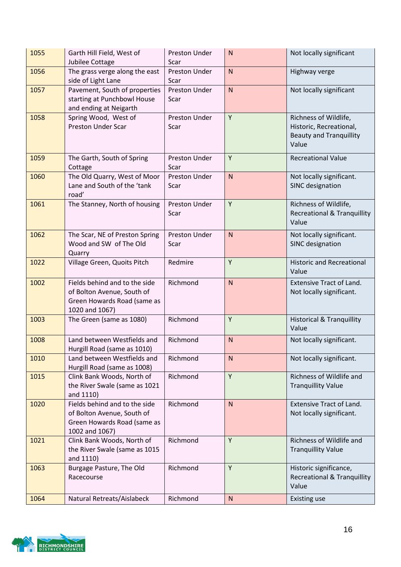| 1055 | Garth Hill Field, West of<br>Jubilee Cottage                                                                 | Preston Under<br>Scar | ${\sf N}$    | Not locally significant                                                                     |
|------|--------------------------------------------------------------------------------------------------------------|-----------------------|--------------|---------------------------------------------------------------------------------------------|
| 1056 | The grass verge along the east<br>side of Light Lane                                                         | Preston Under<br>Scar | $\mathsf{N}$ | Highway verge                                                                               |
| 1057 | Pavement, South of properties<br>starting at Punchbowl House<br>and ending at Neigarth                       | Preston Under<br>Scar | ${\sf N}$    | Not locally significant                                                                     |
| 1058 | Spring Wood, West of<br><b>Preston Under Scar</b>                                                            | Preston Under<br>Scar | Y            | Richness of Wildlife,<br>Historic, Recreational,<br><b>Beauty and Tranquillity</b><br>Value |
| 1059 | The Garth, South of Spring<br>Cottage                                                                        | Preston Under<br>Scar | Y            | <b>Recreational Value</b>                                                                   |
| 1060 | The Old Quarry, West of Moor<br>Lane and South of the 'tank<br>road'                                         | Preston Under<br>Scar | $\mathsf{N}$ | Not locally significant.<br>SINC designation                                                |
| 1061 | The Stanney, North of housing                                                                                | Preston Under<br>Scar | Y            | Richness of Wildlife,<br><b>Recreational &amp; Tranquillity</b><br>Value                    |
| 1062 | The Scar, NE of Preston Spring<br>Wood and SW of The Old<br>Quarry                                           | Preston Under<br>Scar | ${\sf N}$    | Not locally significant.<br>SINC designation                                                |
| 1022 | Village Green, Quoits Pitch                                                                                  | Redmire               | Y            | <b>Historic and Recreational</b><br>Value                                                   |
| 1002 | Fields behind and to the side<br>of Bolton Avenue, South of<br>Green Howards Road (same as<br>1020 and 1067) | Richmond              | N            | <b>Extensive Tract of Land.</b><br>Not locally significant.                                 |
| 1003 | The Green (same as 1080)                                                                                     | Richmond              | Y            | <b>Historical &amp; Tranquillity</b><br>Value                                               |
| 1008 | Land between Westfields and<br>Hurgill Road (same as 1010)                                                   | Richmond              | ${\sf N}$    | Not locally significant.                                                                    |
| 1010 | Land between Westfields and<br>Hurgill Road (same as 1008)                                                   | Richmond              | <sub>N</sub> | Not locally significant.                                                                    |
| 1015 | Clink Bank Woods, North of<br>the River Swale (same as 1021<br>and 1110)                                     | Richmond              | Y            | Richness of Wildlife and<br><b>Tranquillity Value</b>                                       |
| 1020 | Fields behind and to the side<br>of Bolton Avenue, South of<br>Green Howards Road (same as<br>1002 and 1067) | Richmond              | ${\sf N}$    | <b>Extensive Tract of Land.</b><br>Not locally significant.                                 |
| 1021 | Clink Bank Woods, North of<br>the River Swale (same as 1015<br>and 1110)                                     | Richmond              | Y            | Richness of Wildlife and<br><b>Tranquillity Value</b>                                       |
| 1063 | Burgage Pasture, The Old<br>Racecourse                                                                       | Richmond              | Y            | Historic significance,<br><b>Recreational &amp; Tranquillity</b><br>Value                   |
| 1064 | Natural Retreats/Aislabeck                                                                                   | Richmond              | N            | <b>Existing use</b>                                                                         |

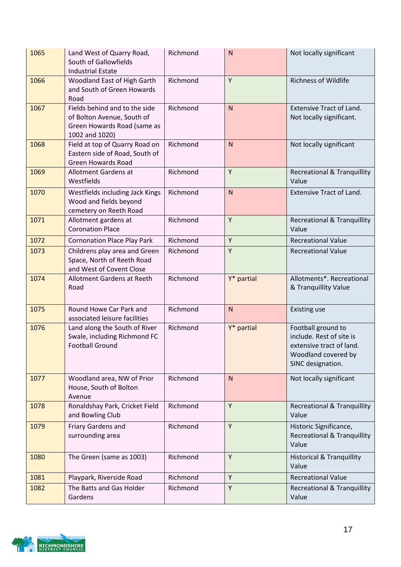| 1065 | Land West of Quarry Road,<br>South of Gallowfields<br><b>Industrial Estate</b>                               | Richmond | ${\sf N}$    | Not locally significant                                                                                                |
|------|--------------------------------------------------------------------------------------------------------------|----------|--------------|------------------------------------------------------------------------------------------------------------------------|
| 1066 | Woodland East of High Garth<br>and South of Green Howards<br>Road                                            | Richmond | Y            | <b>Richness of Wildlife</b>                                                                                            |
| 1067 | Fields behind and to the side<br>of Bolton Avenue, South of<br>Green Howards Road (same as<br>1002 and 1020) | Richmond | $\mathsf{N}$ | <b>Extensive Tract of Land.</b><br>Not locally significant.                                                            |
| 1068 | Field at top of Quarry Road on<br>Eastern side of Road, South of<br><b>Green Howards Road</b>                | Richmond | $\mathsf{N}$ | Not locally significant                                                                                                |
| 1069 | Allotment Gardens at<br>Westfields                                                                           | Richmond | Y            | <b>Recreational &amp; Tranquillity</b><br>Value                                                                        |
| 1070 | Westfields including Jack Kings<br>Wood and fields beyond<br>cemetery on Reeth Road                          | Richmond | $\mathsf{N}$ | <b>Extensive Tract of Land.</b>                                                                                        |
| 1071 | Allotment gardens at<br><b>Coronation Place</b>                                                              | Richmond | Y            | <b>Recreational &amp; Tranquillity</b><br>Value                                                                        |
| 1072 | <b>Cornonation Place Play Park</b>                                                                           | Richmond | Y            | <b>Recreational Value</b>                                                                                              |
| 1073 | Childrens play area and Green<br>Space, North of Reeth Road<br>and West of Covent Close                      | Richmond | Y            | <b>Recreational Value</b>                                                                                              |
| 1074 | Allotment Gardens at Reeth<br>Road                                                                           | Richmond | Y* partial   | Allotments*. Recreational<br>& Tranquillity Value                                                                      |
| 1075 | Round Howe Car Park and<br>associated leisure facilities                                                     | Richmond | $\mathsf{N}$ | <b>Existing use</b>                                                                                                    |
| 1076 | Land along the South of River<br>Swale, including Richmond FC<br><b>Football Ground</b>                      | Richmond | Y* partial   | Football ground to<br>include. Rest of site is<br>extensive tract of land.<br>Woodland covered by<br>SINC designation. |
| 1077 | Woodland area, NW of Prior<br>House, South of Bolton<br>Avenue                                               | Richmond | N            | Not locally significant                                                                                                |
| 1078 | Ronaldshay Park, Cricket Field<br>and Bowling Club                                                           | Richmond | Y            | <b>Recreational &amp; Tranquillity</b><br>Value                                                                        |
| 1079 | Friary Gardens and<br>surrounding area                                                                       | Richmond | Y            | Historic Significance,<br><b>Recreational &amp; Tranquillity</b><br>Value                                              |
| 1080 | The Green (same as 1003)                                                                                     | Richmond | Y            | <b>Historical &amp; Tranquillity</b><br>Value                                                                          |
| 1081 | Playpark, Riverside Road                                                                                     | Richmond | Y            | <b>Recreational Value</b>                                                                                              |
| 1082 | The Batts and Gas Holder<br>Gardens                                                                          | Richmond | Y            | <b>Recreational &amp; Tranquillity</b><br>Value                                                                        |

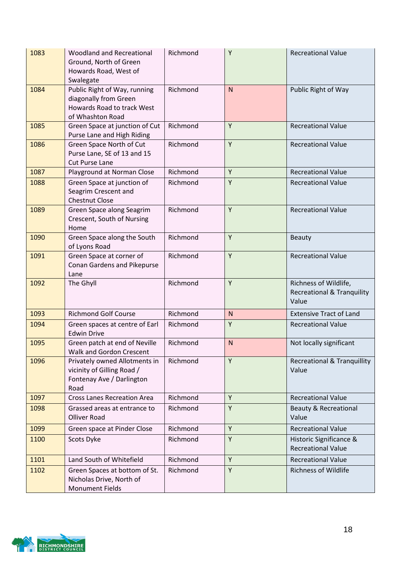| 1083 | <b>Woodland and Recreational</b><br>Ground, North of Green<br>Howards Road, West of<br>Swalegate        | Richmond | Y            | <b>Recreational Value</b>                                               |
|------|---------------------------------------------------------------------------------------------------------|----------|--------------|-------------------------------------------------------------------------|
| 1084 | Public Right of Way, running<br>diagonally from Green<br>Howards Road to track West<br>of Whashton Road | Richmond | $\mathsf{N}$ | Public Right of Way                                                     |
| 1085 | Green Space at junction of Cut<br>Purse Lane and High Riding                                            | Richmond | Y            | <b>Recreational Value</b>                                               |
| 1086 | Green Space North of Cut<br>Purse Lane, SE of 13 and 15<br><b>Cut Purse Lane</b>                        | Richmond | Y            | <b>Recreational Value</b>                                               |
| 1087 | Playground at Norman Close                                                                              | Richmond | Y            | <b>Recreational Value</b>                                               |
| 1088 | Green Space at junction of<br>Seagrim Crescent and<br><b>Chestnut Close</b>                             | Richmond | Y            | <b>Recreational Value</b>                                               |
| 1089 | Green Space along Seagrim<br>Crescent, South of Nursing<br>Home                                         | Richmond | Y            | <b>Recreational Value</b>                                               |
| 1090 | Green Space along the South<br>of Lyons Road                                                            | Richmond | Y            | <b>Beauty</b>                                                           |
| 1091 | Green Space at corner of<br>Conan Gardens and Pikepurse<br>Lane                                         | Richmond | Y            | <b>Recreational Value</b>                                               |
| 1092 | The Ghyll                                                                                               | Richmond | Y            | Richness of Wildlife,<br><b>Recreational &amp; Tranquility</b><br>Value |
| 1093 | <b>Richmond Golf Course</b>                                                                             | Richmond | $\mathsf{N}$ | <b>Extensive Tract of Land</b>                                          |
| 1094 | Green spaces at centre of Earl<br><b>Edwin Drive</b>                                                    | Richmond | Y            | <b>Recreational Value</b>                                               |
| 1095 | Green patch at end of Neville<br><b>Walk and Gordon Crescent</b>                                        | Richmond | ${\sf N}$    | Not locally significant                                                 |
| 1096 | Privately owned Allotments in<br>vicinity of Gilling Road /<br>Fontenay Ave / Darlington<br>Road        | Richmond | Y            | <b>Recreational &amp; Tranquillity</b><br>Value                         |
| 1097 | <b>Cross Lanes Recreation Area</b>                                                                      | Richmond | Y            | <b>Recreational Value</b>                                               |
| 1098 | Grassed areas at entrance to<br><b>Olliver Road</b>                                                     | Richmond | Υ            | <b>Beauty &amp; Recreational</b><br>Value                               |
| 1099 | Green space at Pinder Close                                                                             | Richmond | Y            | <b>Recreational Value</b>                                               |
| 1100 | Scots Dyke                                                                                              | Richmond | Y            | Historic Significance &<br><b>Recreational Value</b>                    |
| 1101 | Land South of Whitefield                                                                                | Richmond | Y            | <b>Recreational Value</b>                                               |
| 1102 | Green Spaces at bottom of St.<br>Nicholas Drive, North of<br><b>Monument Fields</b>                     | Richmond | Y            | <b>Richness of Wildlife</b>                                             |